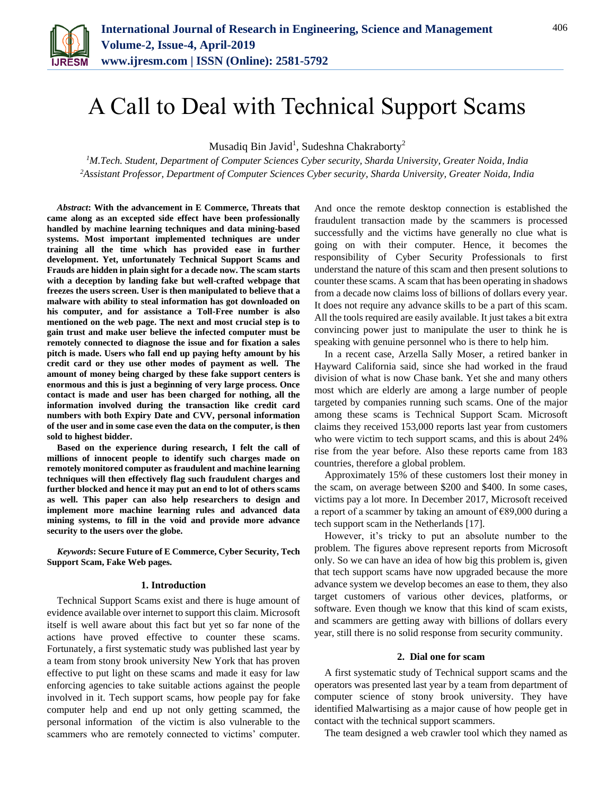

# A Call to Deal with Technical Support Scams

Musadiq Bin Javid<sup>1</sup>, Sudeshna Chakraborty<sup>2</sup>

*<sup>1</sup>M.Tech. Student, Department of Computer Sciences Cyber security, Sharda University, Greater Noida, India <sup>2</sup>Assistant Professor, Department of Computer Sciences Cyber security, Sharda University, Greater Noida, India*

*Abstract***: With the advancement in E Commerce, Threats that came along as an excepted side effect have been professionally handled by machine learning techniques and data mining-based systems. Most important implemented techniques are under training all the time which has provided ease in further development. Yet, unfortunately Technical Support Scams and Frauds are hidden in plain sight for a decade now. The scam starts with a deception by landing fake but well-crafted webpage that freezes the users screen. User is then manipulated to believe that a malware with ability to steal information has got downloaded on his computer, and for assistance a Toll-Free number is also mentioned on the web page. The next and most crucial step is to gain trust and make user believe the infected computer must be remotely connected to diagnose the issue and for fixation a sales pitch is made. Users who fall end up paying hefty amount by his credit card or they use other modes of payment as well. The amount of money being charged by these fake support centers is enormous and this is just a beginning of very large process. Once contact is made and user has been charged for nothing, all the information involved during the transaction like credit card numbers with both Expiry Date and CVV, personal information of the user and in some case even the data on the computer, is then sold to highest bidder.**

**Based on the experience during research, I felt the call of millions of innocent people to identify such charges made on remotely monitored computer as fraudulent and machine learning techniques will then effectively flag such fraudulent charges and further blocked and hence it may put an end to lot of others scams as well. This paper can also help researchers to design and implement more machine learning rules and advanced data mining systems, to fill in the void and provide more advance security to the users over the globe.**

*Keywords***: Secure Future of E Commerce, Cyber Security, Tech Support Scam, Fake Web pages.**

## **1. Introduction**

Technical Support Scams exist and there is huge amount of evidence available over internet to support this claim. Microsoft itself is well aware about this fact but yet so far none of the actions have proved effective to counter these scams. Fortunately, a first systematic study was published last year by a team from stony brook university New York that has proven effective to put light on these scams and made it easy for law enforcing agencies to take suitable actions against the people involved in it. Tech support scams, how people pay for fake computer help and end up not only getting scammed, the personal information of the victim is also vulnerable to the scammers who are remotely connected to victims' computer.

And once the remote desktop connection is established the fraudulent transaction made by the scammers is processed successfully and the victims have generally no clue what is going on with their computer. Hence, it becomes the responsibility of Cyber Security Professionals to first understand the nature of this scam and then present solutions to counter these scams. A scam that has been operating in shadows from a decade now claims loss of billions of dollars every year. It does not require any advance skills to be a part of this scam. All the tools required are easily available. It just takes a bit extra convincing power just to manipulate the user to think he is speaking with genuine personnel who is there to help him.

In a recent case, Arzella Sally Moser, a retired banker in Hayward California said, since she had worked in the fraud division of what is now Chase bank. Yet she and many others most which are elderly are among a large number of people targeted by companies running such scams. One of the major among these scams is Technical Support Scam. Microsoft claims they received 153,000 reports last year from customers who were victim to tech support scams, and this is about 24% rise from the year before. Also these reports came from 183 countries, therefore a global problem.

Approximately 15% of these customers lost their money in the scam, on average between \$200 and \$400. In some cases, victims pay a lot more. In December 2017, Microsoft received a report of a scammer by taking an amount of  $€89,000$  during a tech support scam in the Netherlands [17].

However, it's tricky to put an absolute number to the problem. The figures above represent reports from Microsoft only. So we can have an idea of how big this problem is, given that tech support scams have now upgraded because the more advance system we develop becomes an ease to them, they also target customers of various other devices, platforms, or software. Even though we know that this kind of scam exists, and scammers are getting away with billions of dollars every year, still there is no solid response from security community.

# **2. Dial one for scam**

A first systematic study of Technical support scams and the operators was presented last year by a team from department of computer science of stony brook university. They have identified Malwartising as a major cause of how people get in contact with the technical support scammers.

The team designed a web crawler tool which they named as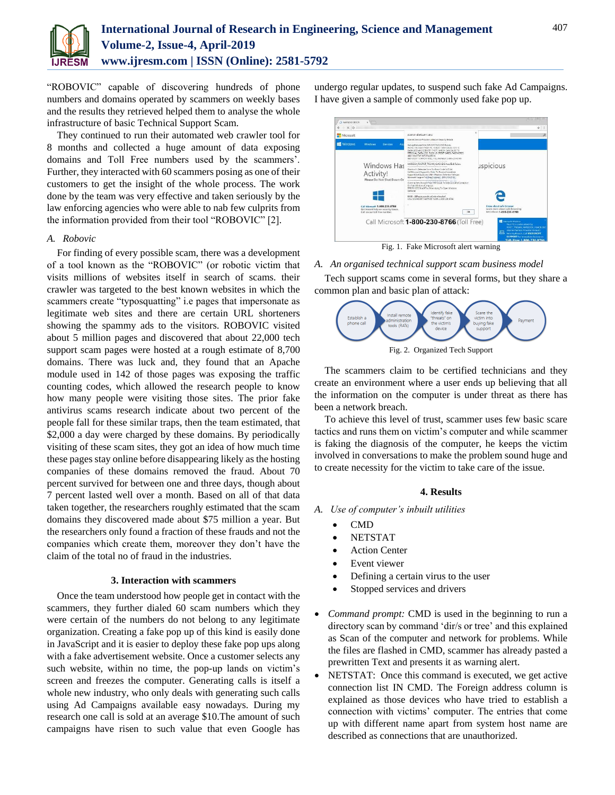

"ROBOVIC" capable of discovering hundreds of phone numbers and domains operated by scammers on weekly bases and the results they retrieved helped them to analyse the whole infrastructure of basic Technical Support Scam.

They continued to run their automated web crawler tool for 8 months and collected a huge amount of data exposing domains and Toll Free numbers used by the scammers'. Further, they interacted with 60 scammers posing as one of their customers to get the insight of the whole process. The work done by the team was very effective and taken seriously by the law enforcing agencies who were able to nab few culprits from the information provided from their tool "ROBOVIC" [2].

# *A. Robovic*

For finding of every possible scam, there was a development of a tool known as the "ROBOVIC" (or robotic victim that visits millions of websites itself in search of scams. their crawler was targeted to the best known websites in which the scammers create "typosquatting" i.e pages that impersonate as legitimate web sites and there are certain URL shorteners showing the spammy ads to the visitors. ROBOVIC visited about 5 million pages and discovered that about 22,000 tech support scam pages were hosted at a rough estimate of 8,700 domains. There was luck and, they found that an Apache module used in 142 of those pages was exposing the traffic counting codes, which allowed the research people to know how many people were visiting those sites. The prior fake antivirus scams research indicate about two percent of the people fall for these similar traps, then the team estimated, that \$2,000 a day were charged by these domains. By periodically visiting of these scam sites, they got an idea of how much time these pages stay online before disappearing likely as the hosting companies of these domains removed the fraud. About 70 percent survived for between one and three days, though about 7 percent lasted well over a month. Based on all of that data taken together, the researchers roughly estimated that the scam domains they discovered made about \$75 million a year. But the researchers only found a fraction of these frauds and not the companies which create them, moreover they don't have the claim of the total no of fraud in the industries.

# **3. Interaction with scammers**

Once the team understood how people get in contact with the scammers, they further dialed 60 scam numbers which they were certain of the numbers do not belong to any legitimate organization. Creating a fake pop up of this kind is easily done in JavaScript and it is easier to deploy these fake pop ups along with a fake advertisement website. Once a customer selects any such website, within no time, the pop-up lands on victim's screen and freezes the computer. Generating calls is itself a whole new industry, who only deals with generating such calls using Ad Campaigns available easy nowadays. During my research one call is sold at an average \$10.The amount of such campaigns have risen to such value that even Google has undergo regular updates, to suspend such fake Ad Campaigns. I have given a sample of commonly used fake pop up.



*A. An organised technical support scam business model*

Tech support scams come in several forms, but they share a common plan and basic plan of attack:



Fig. 2. Organized Tech Support

The scammers claim to be certified technicians and they create an environment where a user ends up believing that all the information on the computer is under threat as there has been a network breach.

To achieve this level of trust, scammer uses few basic scare tactics and runs them on victim's computer and while scammer is faking the diagnosis of the computer, he keeps the victim involved in conversations to make the problem sound huge and to create necessity for the victim to take care of the issue.

# **4. Results**

- *A. Use of computer's inbuilt utilities*
	- CMD
	- NETSTAT
	- Action Center
	- Event viewer
	- Defining a certain virus to the user
	- Stopped services and drivers
- *Command prompt:* CMD is used in the beginning to run a directory scan by command 'dir/s or tree' and this explained as Scan of the computer and network for problems. While the files are flashed in CMD, scammer has already pasted a prewritten Text and presents it as warning alert.
- NETSTAT: Once this command is executed, we get active connection list IN CMD. The Foreign address column is explained as those devices who have tried to establish a connection with victims' computer. The entries that come up with different name apart from system host name are described as connections that are unauthorized.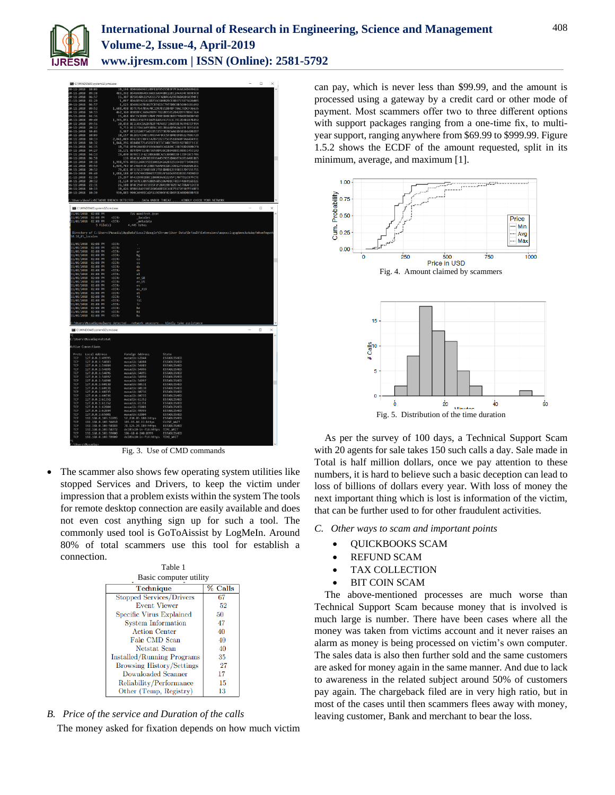

|                                      | <b>BEL</b> CAWINDOWS\system3Z\cmd.ex       |                             |                                                   |                                                                                                                         |        |          |
|--------------------------------------|--------------------------------------------|-----------------------------|---------------------------------------------------|-------------------------------------------------------------------------------------------------------------------------|--------|----------|
| χä<br>$-11$<br>$-2018$               | $10 - 06$                                  |                             |                                                   | 10,194 8D8A60696314DFE1F95655B3F7F34AA34D4A9616                                                                         |        |          |
| 20-11-2018                           | 09:38                                      |                             |                                                   | 483,392 8D48A9B64EC66EC6A948BE22EC2A4A34C5B985C0                                                                        |        |          |
| 28-11-2018                           | 06:57<br>82:29                             |                             |                                                   | 15,307 8D5A14D62292C6175FABBA3A29EB6DA1050390FE                                                                         |        |          |
| $21 - 11 - 2018$<br>$20 - 11 - 2018$ | 06:57                                      |                             |                                                   | 1,097 8D6485921A11D736C600B29CE486715875626005<br>1,623 8D68616781B27CB74D3C7955DBCBB56003181692                        |        |          |
| 28-11-2018                           | 89:52                                      |                             |                                                   | 1,688,498 8D7E7E47B5670C1D97B31BB48F70AC7EDCF36635                                                                      |        |          |
| $20 - 11 - 2018$                     | $10 - 13$                                  |                             |                                                   | 462,360 8D81BFC360689B9F7822B91012842D997BBA736A                                                                        |        |          |
| $19 - 11 - 2018$                     | 84:16                                      |                             |                                                   | 15,464 8DC35CB90B37BAF798E6D483B43F9BABED8D0FAD                                                                         |        |          |
| 28-11-2018                           | 09:40                                      |                             |                                                   | 1,745,851 800214587FF16A51AA3FE71E3C7912D3BE87B452                                                                      |        |          |
| $8 - 11 - 2018$                      | 89:56                                      |                             |                                                   | 10.458 8E1E45CDA2D7B2FF07401F10685BE969987EF99A                                                                         |        |          |
| $20 - 11 - 2018$                     | 20:12                                      |                             |                                                   | 9,753 BE1EFB6C6495BB6C3013B66AD942AC69F3DFC65B                                                                          |        |          |
| $28 - 11 - 2818$                     | 38:86                                      |                             |                                                   | 6,987 8E22520EF5A018532573870EA461D381864082D7                                                                          |        |          |
| 20-11-2018                           | 10:09                                      |                             |                                                   | 10,157 8E2B1FCD4D13993A4F0CC5F6D4D3989227BBCF29                                                                         |        |          |
| 28-11-2018                           | 30:13                                      |                             |                                                   | 2,041,089 8E633D19DFCFA7871B2375C0518040F9A64D493E                                                                      |        |          |
| 20-11-2018                           | 10:32                                      |                             |                                                   | 1,844,296 8E84D87714585EF8CE3C340C7A9D192F8D3F113C                                                                      |        |          |
| $19 - 11 - 2018$                     | 84:15                                      |                             |                                                   | 10,734 8E962A69D1FA5668603C618A9C198748D280BCFA                                                                         |        |          |
| $19 - 11 - 2018$                     | 04:27                                      |                             |                                                   | 16,171 8E97D4F11AB736508A38CDBB488B198BCC4531A3                                                                         |        |          |
| $9 - 11 - 2018$<br>28-11-2018        | 84:13<br>06:58                             |                             |                                                   | 19,490 8E98153F4210D684BCAE530B081BFE7DFC0C5706                                                                         |        |          |
| $20 - 11 - 2018$                     | 10:18                                      |                             |                                                   | 116 BEACBC42DCDD393EA45E9D52D4607A101640C865<br>1.998.976 8EE11260C95EE1002242A283251E4E6F734D029E                      |        |          |
| 28-11-2018                           | 89:59                                      |                             |                                                   | 1,694,783 BF14664FAF29BB76AA05E1BC39012F6AA6AD62E1                                                                      |        |          |
| $20 - 11 - 2018$                     | 20:12                                      |                             |                                                   | 79,411 8F1E5E273A8550F271F4D4012E998157DF555711                                                                         |        |          |
| 8-11-2018                            | 99:48                                      |                             |                                                   | 1,688,188 8F325C98CBD0657CEB1AF16D4A5B2B1B1F8D9D32                                                                      |        |          |
|                                      | 02:30                                      |                             |                                                   | 25,297 8F4329982BBC180803AAE2295F17077D2C87FC5E                                                                         |        |          |
| 21-11-2018<br>20-11-2018             | 20:12                                      |                             |                                                   | 31,124 8F507B33B95DB056B5106A01CF0D3F486916D22E                                                                         |        |          |
| $16 - 11 - 2018$                     | 22:31                                      |                             |                                                   | 26,108 8F8C294F651035F2F28A1B8F82EFAE7D8AF12CE8                                                                         |        |          |
| 28-11-2018                           | 10:13                                      |                             |                                                   | 10,426 8FB018AFC985260D48ED2C46E75172F507FF4BF3                                                                         |        |          |
| $8 - 11 - 2018$                      | 10:38                                      |                             |                                                   | 930,885 900CA998ECADF119E90AF4C6D6FEEA0BD8E0BFE8                                                                        |        |          |
|                                      |                                            |                             |                                                   |                                                                                                                         |        |          |
|                                      |                                            |                             |                                                   | ::\Users\benfi>NETWOKR_BREACH_DETECTEDDATA_UNDER_THREATKINDLY_CHECK_YOUR_NETWORK                                        |        |          |
|                                      |                                            |                             |                                                   |                                                                                                                         |        | $\times$ |
|                                      | CAWINDOWS\system32\cmd.exe                 |                             |                                                   |                                                                                                                         | o      |          |
| 11/01/2018                           | $92 - 98$ $B$                              |                             | 726 manifest.json                                 |                                                                                                                         |        |          |
| 11/01/2018                           | 02:08 PM                                   | <dir></dir>                 | locales                                           |                                                                                                                         |        |          |
| 11/01/2018                           | 02:08 PM<br>$5$ $Filefs)$                  | <dir></dir>                 | metadata                                          |                                                                                                                         |        |          |
|                                      |                                            |                             | 4,445 bytes                                       |                                                                                                                         |        |          |
|                                      |                                            |                             |                                                   | Directory of C:\Users\Musadiq\AppData\Local\Google\Chrome\User Data\Default\Extensions\aapocclcgogkmnckokdopfmhonfmgoek |        |          |
| $(0.10.0)$ locales                   |                                            |                             |                                                   |                                                                                                                         |        |          |
|                                      |                                            |                             |                                                   |                                                                                                                         |        |          |
|                                      | 11/01/2018 02:08 PM                        | <dir></dir>                 |                                                   |                                                                                                                         |        |          |
| 11/01/2018                           | 02:08.01                                   | $c$ DTR $s$                 | $\sim$                                            |                                                                                                                         |        |          |
| 11/01/2018                           | 02:08 PM                                   | <dtr></dtr>                 | är                                                |                                                                                                                         |        |          |
| 11/01/2018                           | 02:08 PM                                   | <dir></dir>                 | bg                                                |                                                                                                                         |        |          |
| 11/01/2018                           | 02:08 PM                                   | <dir></dir>                 | ca                                                |                                                                                                                         |        |          |
| 11/01/2018<br>11/01/2018             | 02:08 PM<br>02:08 PM                       | <dir><br/>CDIR</dir>        | cs                                                |                                                                                                                         |        |          |
| 11/01/2018                           | 02:08 PM                                   | <dir></dir>                 | da<br>de                                          |                                                                                                                         |        |          |
| 11/01/2018                           | $A2 - A3$ $PBM$                            | <dtr></dtr>                 | еl                                                |                                                                                                                         |        |          |
| 11/01/2018                           | 02:08 PM                                   | <dir></dir>                 | $en$ $68$                                         |                                                                                                                         |        |          |
| 11/01/2018                           | 02:08 PM                                   | <dir></dir>                 | en_US                                             |                                                                                                                         |        |          |
| 11/01/2018                           | 02:08 PM                                   | <dir></dir>                 | es                                                |                                                                                                                         |        |          |
| 11/01/2018                           | 02:08 PM                                   | <dir></dir>                 | es 419                                            |                                                                                                                         |        |          |
| 11/01/2018                           | 02:08 PM                                   | <dir></dir>                 | et                                                |                                                                                                                         |        |          |
| 11/01/2018                           | 02:08 PM                                   | CDIR                        | fi                                                |                                                                                                                         |        |          |
| 11/01/2018                           | 02:08 PM                                   | <dir></dir>                 | £41                                               |                                                                                                                         |        |          |
| 11/01/2018                           | 82:88 PM                                   | <dtr></dtr>                 | £e                                                |                                                                                                                         |        |          |
| 11/01/2018                           | 02:08 PM                                   | <dir></dir>                 | he                                                |                                                                                                                         |        |          |
| 11/01/2018<br>11/01/2018             | 02:08 PM<br>02:08 PM                       | <dir><br/><dir></dir></dir> | hi<br>hu                                          |                                                                                                                         |        |          |
|                                      |                                            |                             |                                                   |                                                                                                                         |        |          |
|                                      |                                            |                             | C:\Users\Musadiq>malware detectednetwork unsecure | kindly take assistance                                                                                                  |        |          |
|                                      |                                            |                             |                                                   |                                                                                                                         |        |          |
|                                      | CAWINDOWS\system32\cmd.exe                 |                             |                                                   |                                                                                                                         | $\Box$ | $\times$ |
|                                      |                                            |                             |                                                   |                                                                                                                         |        |          |
|                                      | :\Users\Musadiq>netstat                    |                             |                                                   |                                                                                                                         |        |          |
|                                      |                                            |                             |                                                   |                                                                                                                         |        |          |
| Active Connections                   |                                            |                             |                                                   |                                                                                                                         |        |          |
|                                      |                                            |                             |                                                   |                                                                                                                         |        |          |
|                                      | Proto Local Address                        |                             | Foreign Address                                   | State                                                                                                                   |        |          |
| TCP                                  | 127.0.0.1:49995                            |                             | musadik:62844                                     | ESTABLISHED                                                                                                             |        |          |
| TCP                                  | 127.0.0.1:54883                            |                             | musadik: 54884                                    | <b>ESTABLISHED</b>                                                                                                      |        |          |
| ТСР                                  | 127.0.0.1:54884                            |                             | musadik: 54883                                    | <b>ESTABLISHED</b>                                                                                                      |        |          |
| TCP<br>TCP                           | 127.0.0.1:54895<br>127.0.0.1:54896         |                             | musadik: 54896<br>musadik: 54895                  | <b>ESTABLISHED</b><br><b>ESTABLISHED</b>                                                                                |        |          |
| TCP                                  | 127.0.0.1:54897                            |                             | musadik: 54898                                    | <b>ESTABLISHED</b>                                                                                                      |        |          |
| TCP                                  | 127.0.0.1:54898                            |                             | musadik: 54897                                    | <b>ESTABLISHED</b>                                                                                                      |        |          |
| Trp                                  | 127.0.0.1:60130                            |                             | musadik:60131                                     | ESTABLISHED                                                                                                             |        |          |
| TCP                                  | 127.0.0.1:60131                            |                             | musadik:60130                                     | ESTABLISHED                                                                                                             |        |          |
| TCP                                  | 127.0.0.1:60735                            |                             | musadik: 60736                                    | <b>ESTABLISHED</b>                                                                                                      |        |          |
| ТСР                                  | 127.0.0.1:60736                            |                             | musadik: 60735                                    | <b>ESTABLISHED</b>                                                                                                      |        |          |
| TCP                                  | 127.0.0.1:61351                            |                             | musadik: 61352                                    | <b>ESTABLISHED</b>                                                                                                      |        |          |
| TCP                                  | 127.0.0.1:61352                            |                             | musadik:61351                                     | <b>ESTABLISHED</b>                                                                                                      |        |          |
| TCP                                  | 127.0.0.1:62804                            |                             | musadik: 65001                                    | <b>ESTABLISHED</b>                                                                                                      |        |          |
| TCP                                  | 127.0.0.1:62844                            |                             | musadik: 49995                                    | <b>ESTABLISHED</b>                                                                                                      |        |          |
| TCP                                  | 127.0.0.1:65001                            |                             | musadik:62884                                     | ESTABLISHED                                                                                                             |        |          |
| TCP<br>TCP                           | 192.168.0.103:53995<br>192.168.0.103:56010 |                             | 52.230.85.180:https<br>103.95.84.11:https         | <b>ESTABLISHED</b><br>CLOSE MAIT                                                                                        |        |          |
| TCP                                  | 192.168.0.103:58183                        |                             | 74.125.24.189:https                               | <b>ESTABLISHED</b>                                                                                                      |        |          |
| TCP                                  | 192.168.0.103:58772                        |                             | del03s10-in-f14:https                             | TTMF MATT                                                                                                               |        |          |
| TCP                                  | 192.168.0.103:59000                        |                             | 106-68-4-240:8999                                 | <b>ESTABLISHED</b>                                                                                                      |        |          |
| TCP                                  | 192.168.0.103:59909                        |                             | del03s10-in-f14:https                             | TIME_WAIT                                                                                                               |        |          |
|                                      |                                            |                             |                                                   |                                                                                                                         |        |          |

Fig. 3. Use of CMD commands

 The scammer also shows few operating system utilities like stopped Services and Drivers, to keep the victim under impression that a problem exists within the system The tools for remote desktop connection are easily available and does not even cost anything sign up for such a tool. The commonly used tool is GoToAissist by LogMeIn. Around 80% of total scammers use this tool for establish a connection.

| Table 1                           |         |  |  |  |  |
|-----------------------------------|---------|--|--|--|--|
| Basic computer utility            |         |  |  |  |  |
| Technique                         | % Calls |  |  |  |  |
| Stopped Services/Drivers          | 67      |  |  |  |  |
| <b>Event Viewer</b>               | 52      |  |  |  |  |
| Specific Virus Explained          | 50      |  |  |  |  |
| <b>System Information</b>         | 47      |  |  |  |  |
| <b>Action Center</b>              | 40      |  |  |  |  |
| Fake CMD Scan                     | 40      |  |  |  |  |
| Netstat Scan                      | 40      |  |  |  |  |
| <b>Installed/Running Programs</b> | 35      |  |  |  |  |
| <b>Browsing History/Settings</b>  | 27      |  |  |  |  |
| Downloaded Scanner                | 17      |  |  |  |  |
| Reliability/Performance           | 15      |  |  |  |  |
| Other (Temp, Registry)            | 13      |  |  |  |  |

*B. Price of the service and Duration of the calls*

The money asked for fixation depends on how much victim

can pay, which is never less than \$99.99, and the amount is processed using a gateway by a credit card or other mode of payment. Most scammers offer two to three different options with support packages ranging from a one-time fix, to multiyear support, ranging anywhere from \$69.99 to \$999.99. Figure 1.5.2 shows the ECDF of the amount requested, split in its minimum, average, and maximum [1].



Fig. 5. Distribution of the time duration

As per the survey of 100 days, a Technical Support Scam with 20 agents for sale takes 150 such calls a day. Sale made in Total is half million dollars, once we pay attention to these numbers, it is hard to believe such a basic deception can lead to loss of billions of dollars every year. With loss of money the next important thing which is lost is information of the victim, that can be further used to for other fraudulent activities.

## *C. Other ways to scam and important points*

- QUICKBOOKS SCAM
- REFUND SCAM
- TAX COLLECTION
- BIT COIN SCAM

The above-mentioned processes are much worse than Technical Support Scam because money that is involved is much large is number. There have been cases where all the money was taken from victims account and it never raises an alarm as money is being processed on victim's own computer. The sales data is also then further sold and the same customers are asked for money again in the same manner. And due to lack to awareness in the related subject around 50% of customers pay again. The chargeback filed are in very high ratio, but in most of the cases until then scammers flees away with money, leaving customer, Bank and merchant to bear the loss.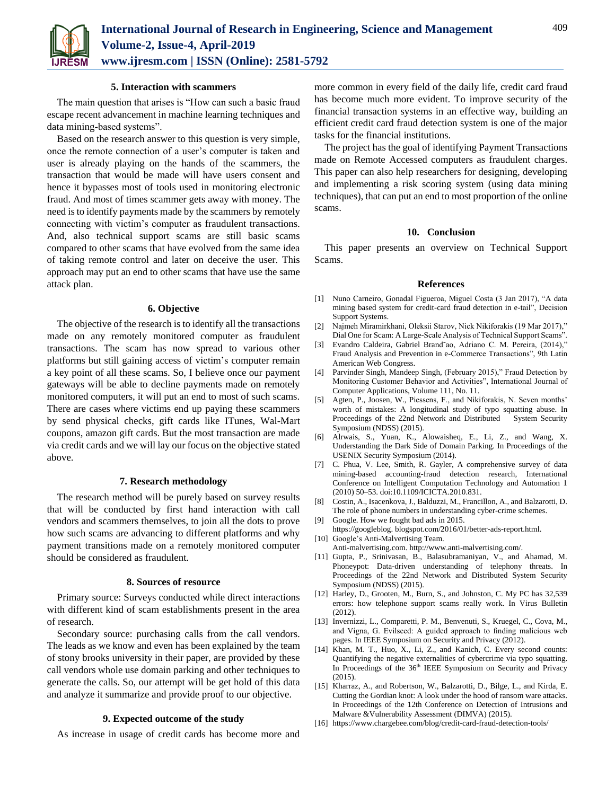

#### **5. Interaction with scammers**

The main question that arises is "How can such a basic fraud escape recent advancement in machine learning techniques and data mining-based systems".

Based on the research answer to this question is very simple, once the remote connection of a user's computer is taken and user is already playing on the hands of the scammers, the transaction that would be made will have users consent and hence it bypasses most of tools used in monitoring electronic fraud. And most of times scammer gets away with money. The need is to identify payments made by the scammers by remotely connecting with victim's computer as fraudulent transactions. And, also technical support scams are still basic scams compared to other scams that have evolved from the same idea of taking remote control and later on deceive the user. This approach may put an end to other scams that have use the same attack plan.

# **6. Objective**

The objective of the research is to identify all the transactions made on any remotely monitored computer as fraudulent transactions. The scam has now spread to various other platforms but still gaining access of victim's computer remain a key point of all these scams. So, I believe once our payment gateways will be able to decline payments made on remotely monitored computers, it will put an end to most of such scams. There are cases where victims end up paying these scammers by send physical checks, gift cards like ITunes, Wal-Mart coupons, amazon gift cards. But the most transaction are made via credit cards and we will lay our focus on the objective stated above.

# **7. Research methodology**

The research method will be purely based on survey results that will be conducted by first hand interaction with call vendors and scammers themselves, to join all the dots to prove how such scams are advancing to different platforms and why payment transitions made on a remotely monitored computer should be considered as fraudulent.

### **8. Sources of resource**

Primary source: Surveys conducted while direct interactions with different kind of scam establishments present in the area of research.

Secondary source: purchasing calls from the call vendors. The leads as we know and even has been explained by the team of stony brooks university in their paper, are provided by these call vendors whole use domain parking and other techniques to generate the calls. So, our attempt will be get hold of this data and analyze it summarize and provide proof to our objective.

# **9. Expected outcome of the study**

As increase in usage of credit cards has become more and

more common in every field of the daily life, credit card fraud has become much more evident. To improve security of the financial transaction systems in an effective way, building an efficient credit card fraud detection system is one of the major tasks for the financial institutions.

The project has the goal of identifying Payment Transactions made on Remote Accessed computers as fraudulent charges. This paper can also help researchers for designing, developing and implementing a risk scoring system (using data mining techniques), that can put an end to most proportion of the online scams.

## **10. Conclusion**

This paper presents an overview on Technical Support Scams.

#### **References**

- [1] Nuno Carneiro, Gonadal Figueroa, Miguel Costa (3 Jan 2017), "A data mining based system for credit-card fraud detection in e-tail", Decision Support Systems.
- [2] Najmeh Miramirkhani, Oleksii Starov, Nick Nikiforakis (19 Mar 2017)," Dial One for Scam: A Large-Scale Analysis of Technical Support Scams".
- [3] Evandro Caldeira, Gabriel Brand˜ao, Adriano C. M. Pereira, (2014)," Fraud Analysis and Prevention in e-Commerce Transactions", 9th Latin American Web Congress.
- [4] Parvinder Singh, Mandeep Singh, (February 2015)," Fraud Detection by Monitoring Customer Behavior and Activities", International Journal of Computer Applications, Volume 111, No. 11.
- [5] Agten, P., Joosen, W., Piessens, F., and Nikiforakis, N. Seven months' worth of mistakes: A longitudinal study of typo squatting abuse. In Proceedings of the 22nd Network and Distributed System Security Symposium (NDSS) (2015).
- [6] Alrwais, S., Yuan, K., Alowaisheq, E., Li, Z., and Wang, X. Understanding the Dark Side of Domain Parking. In Proceedings of the USENIX Security Symposium (2014).
- [7] C. Phua, V. Lee, Smith, R. Gayler, A comprehensive survey of data mining-based accounting-fraud detection research, International Conference on Intelligent Computation Technology and Automation 1 (2010) 50–53. doi:10.1109/ICICTA.2010.831.
- [8] Costin, A., Isacenkova, J., Balduzzi, M., Francillon, A., and Balzarotti, D. The role of phone numbers in understanding cyber-crime schemes.
- [9] Google. How we fought bad ads in 2015.
- https://googleblog. blogspot.com/2016/01/better-ads-report.html. [10] Google's Anti-Malvertising Team.
- Anti-malvertising.com. http://www.anti-malvertising.com/.
- [11] Gupta, P., Srinivasan, B., Balasubramaniyan, V., and Ahamad, M. Phoneypot: Data-driven understanding of telephony threats. In Proceedings of the 22nd Network and Distributed System Security Symposium (NDSS) (2015).
- [12] Harley, D., Grooten, M., Burn, S., and Johnston, C. My PC has 32,539 errors: how telephone support scams really work. In Virus Bulletin (2012).
- [13] Invernizzi, L., Comparetti, P. M., Benvenuti, S., Kruegel, C., Cova, M., and Vigna, G. Evilseed: A guided approach to finding malicious web pages. In IEEE Symposium on Security and Privacy (2012).
- [14] Khan, M. T., Huo, X., Li, Z., and Kanich, C. Every second counts: Quantifying the negative externalities of cybercrime via typo squatting. In Proceedings of the 36<sup>th</sup> IEEE Symposium on Security and Privacy (2015).
- [15] Kharraz, A., and Robertson, W., Balzarotti, D., Bilge, L., and Kirda, E. Cutting the Gordian knot: A look under the hood of ransom ware attacks. In Proceedings of the 12th Conference on Detection of Intrusions and Malware &Vulnerability Assessment (DIMVA) (2015).
- [16] https://www.chargebee.com/blog/credit-card-fraud-detection-tools/